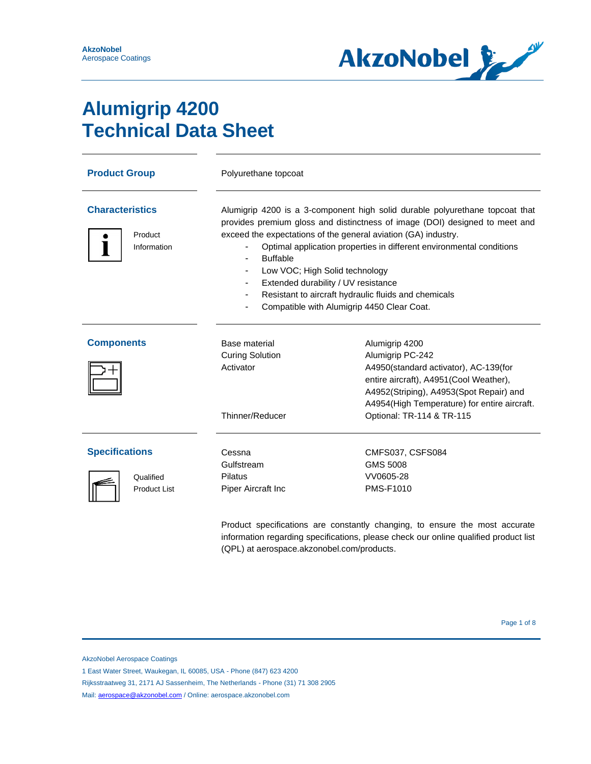

# **Alumigrip 4200 Technical Data Sheet**

| <b>Product Group</b>                                      | Polyurethane topcoat                                                                                                                                                                                                                                                                                                                                                                                                                                                                                                      |                                                                                                                                                                                                                                               |  |  |
|-----------------------------------------------------------|---------------------------------------------------------------------------------------------------------------------------------------------------------------------------------------------------------------------------------------------------------------------------------------------------------------------------------------------------------------------------------------------------------------------------------------------------------------------------------------------------------------------------|-----------------------------------------------------------------------------------------------------------------------------------------------------------------------------------------------------------------------------------------------|--|--|
| <b>Characteristics</b><br>Product<br>Information          | Alumigrip 4200 is a 3-component high solid durable polyurethane topcoat that<br>provides premium gloss and distinctness of image (DOI) designed to meet and<br>exceed the expectations of the general aviation (GA) industry.<br>Optimal application properties in different environmental conditions<br><b>Buffable</b><br>Low VOC; High Solid technology<br>Extended durability / UV resistance<br>$\blacksquare$<br>Resistant to aircraft hydraulic fluids and chemicals<br>Compatible with Alumigrip 4450 Clear Coat. |                                                                                                                                                                                                                                               |  |  |
| <b>Components</b>                                         | Base material<br><b>Curing Solution</b><br>Activator<br>Thinner/Reducer                                                                                                                                                                                                                                                                                                                                                                                                                                                   | Alumigrip 4200<br>Alumigrip PC-242<br>A4950(standard activator), AC-139(for<br>entire aircraft), A4951(Cool Weather),<br>A4952(Striping), A4953(Spot Repair) and<br>A4954(High Temperature) for entire aircraft.<br>Optional: TR-114 & TR-115 |  |  |
| <b>Specifications</b><br>Qualified<br><b>Product List</b> | Cessna<br>Gulfstream<br>Pilatus<br>Piper Aircraft Inc                                                                                                                                                                                                                                                                                                                                                                                                                                                                     | <b>CMFS037, CSFS084</b><br>GMS 5008<br>VV0605-28<br><b>PMS-F1010</b>                                                                                                                                                                          |  |  |

Product specifications are constantly changing, to ensure the most accurate information regarding specifications, please check our online qualified product list (QPL) at aerospace.akzonobel.com/products.

AkzoNobel Aerospace Coatings

1 East Water Street, Waukegan, IL 60085, USA - Phone (847) 623 4200

Rijksstraatweg 31, 2171 AJ Sassenheim, The Netherlands - Phone (31) 71 308 2905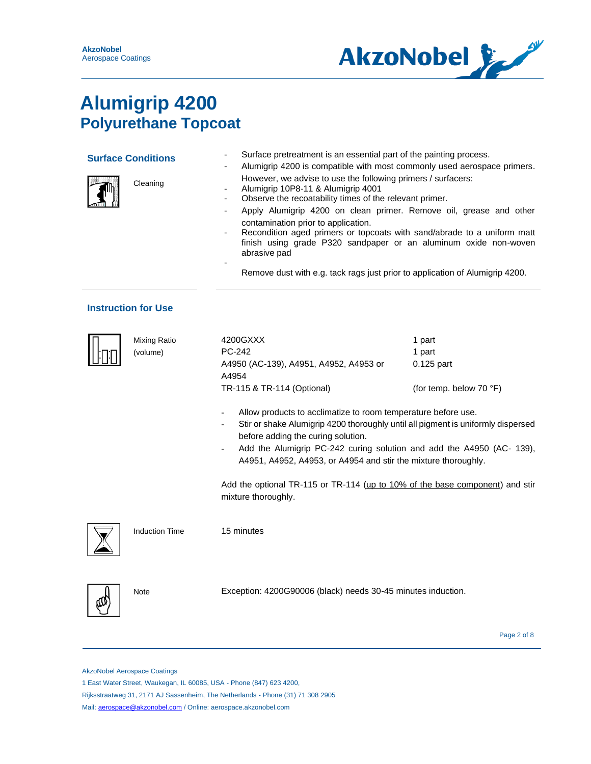

Cleaning



- Surface pretreatment is an essential part of the painting process.
- Alumigrip 4200 is compatible with most commonly used aerospace primers. However, we advise to use the following primers / surfacers:
- Alumigrip 10P8-11 & Alumigrip 4001

-

- Observe the recoatability times of the relevant primer.
- Apply Alumigrip 4200 on clean primer. Remove oil, grease and other contamination prior to application.
- Recondition aged primers or topcoats with sand/abrade to a uniform matt finish using grade P320 sandpaper or an aluminum oxide non-woven abrasive pad
	- Remove dust with e.g. tack rags just prior to application of Alumigrip 4200.

#### **Instruction for Use**

| Mixing Ratio          | 4200GXXX                                                                                            | 1 part                  |
|-----------------------|-----------------------------------------------------------------------------------------------------|-------------------------|
| (volume)              | PC-242                                                                                              | 1 part                  |
|                       | A4950 (AC-139), A4951, A4952, A4953 or                                                              | $0.125$ part            |
|                       | A4954                                                                                               |                         |
|                       | TR-115 & TR-114 (Optional)                                                                          | (for temp. below 70 °F) |
|                       | Allow products to acclimatize to room temperature before use.                                       |                         |
|                       | Stir or shake Alumigrip 4200 thoroughly until all pigment is uniformly dispersed                    |                         |
|                       | before adding the curing solution.                                                                  |                         |
|                       | Add the Alumigrip PC-242 curing solution and add the A4950 (AC- 139),<br>$\overline{\phantom{a}}$   |                         |
|                       | A4951, A4952, A4953, or A4954 and stir the mixture thoroughly.                                      |                         |
|                       | Add the optional TR-115 or TR-114 (up to 10% of the base component) and stir<br>mixture thoroughly. |                         |
| <b>Induction Time</b> | 15 minutes                                                                                          |                         |
| Note                  | Exception: 4200G90006 (black) needs 30-45 minutes induction.                                        |                         |

Page 2 of 8

AkzoNobel Aerospace Coatings

⅏

1 East Water Street, Waukegan, IL 60085, USA - Phone (847) 623 4200,

Rijksstraatweg 31, 2171 AJ Sassenheim, The Netherlands - Phone (31) 71 308 2905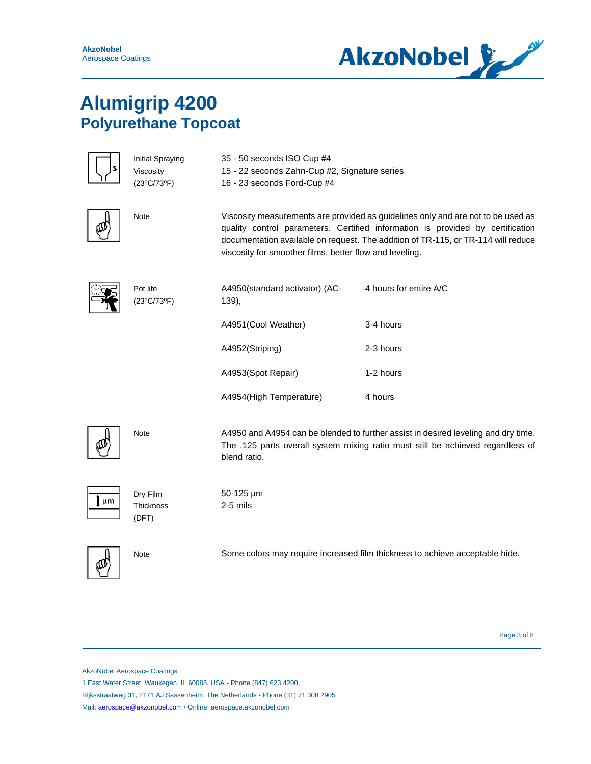

|         | <b>Initial Spraying</b><br>Viscosity<br>(23°C/73°F) | 35 - 50 seconds ISO Cup #4<br>15 - 22 seconds Zahn-Cup #2, Signature series<br>16 - 23 seconds Ford-Cup #4 |                                                                                                                                                                                                                                                         |  |
|---------|-----------------------------------------------------|------------------------------------------------------------------------------------------------------------|---------------------------------------------------------------------------------------------------------------------------------------------------------------------------------------------------------------------------------------------------------|--|
|         | <b>Note</b>                                         | viscosity for smoother films, better flow and leveling.                                                    | Viscosity measurements are provided as guidelines only and are not to be used as<br>quality control parameters. Certified information is provided by certification<br>documentation available on request. The addition of TR-115, or TR-114 will reduce |  |
|         | Pot life<br>(23°C/73°F)                             | A4950(standard activator) (AC-<br>139),                                                                    | 4 hours for entire A/C                                                                                                                                                                                                                                  |  |
|         |                                                     | A4951(Cool Weather)                                                                                        | 3-4 hours                                                                                                                                                                                                                                               |  |
|         |                                                     | A4952(Striping)                                                                                            | 2-3 hours                                                                                                                                                                                                                                               |  |
|         |                                                     | A4953(Spot Repair)                                                                                         | 1-2 hours                                                                                                                                                                                                                                               |  |
|         |                                                     | A4954(High Temperature)                                                                                    | 4 hours                                                                                                                                                                                                                                                 |  |
|         | <b>Note</b>                                         | blend ratio.                                                                                               | A4950 and A4954 can be blended to further assist in desired leveling and dry time.<br>The .125 parts overall system mixing ratio must still be achieved regardless of                                                                                   |  |
| $\mu$ m | Dry Film<br>Thickness<br>(DFT)                      | $50-125 \mu m$<br>2-5 mils                                                                                 |                                                                                                                                                                                                                                                         |  |
|         | <b>Note</b>                                         |                                                                                                            | Some colors may require increased film thickness to achieve acceptable hide.                                                                                                                                                                            |  |

Page 3 of 8

AkzoNobel Aerospace Coatings

1 East Water Street, Waukegan, IL 60085, USA - Phone (847) 623 4200,

Rijksstraatweg 31, 2171 AJ Sassenheim, The Netherlands - Phone (31) 71 308 2905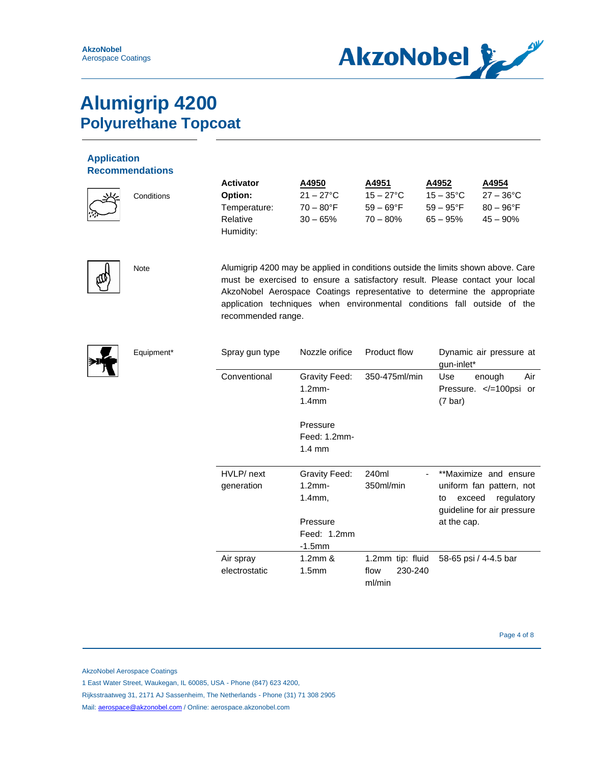

| <b>Application</b>     |
|------------------------|
| <b>Recommendations</b> |

|                     |            | <b>Activator</b> | A4950               | A4951               | A4952               | A4954               |
|---------------------|------------|------------------|---------------------|---------------------|---------------------|---------------------|
|                     | Conditions | Option:          | $21 - 27^{\circ}$ C | $15 - 27^{\circ}$ C | $15 - 35^{\circ}$ C | $27 - 36^{\circ}$ C |
| e<br>Si<br>Si<br>Si |            | Temperature:     | $70 - 80^{\circ}$ F | $59 - 69$ °F        | $59 - 95^{\circ}F$  | $80 - 96^{\circ}$ F |
|                     |            | Relative         | $30 - 65%$          | $70 - 80%$          | $65 - 95%$          | $45 - 90\%$         |
|                     |            | Humidity:        |                     |                     |                     |                     |



Note Alumigrip 4200 may be applied in conditions outside the limits shown above. Care must be exercised to ensure a satisfactory result. Please contact your local AkzoNobel Aerospace Coatings representative to determine the appropriate application techniques when environmental conditions fall outside of the recommended range.



| Equipment* | Spray gun type             | Nozzle orifice                                  | Product flow                                  | Dynamic air pressure at<br>gun-inlet*                                                                         |
|------------|----------------------------|-------------------------------------------------|-----------------------------------------------|---------------------------------------------------------------------------------------------------------------|
|            | Conventional               | Gravity Feed:<br>$1.2$ mm-<br>1.4 <sub>mm</sub> | 350-475ml/min                                 | Use<br>Air<br>enough<br>Pressure. $\lt/=100$ psi or<br>(7 bar)                                                |
|            |                            | Pressure<br>Feed: 1.2mm-<br>$1.4 \text{ mm}$    |                                               |                                                                                                               |
|            | HVLP/ next<br>generation   | Gravity Feed:<br>$1.2$ mm-<br>$1.4$ mm,         | 240ml<br>350ml/min                            | **Maximize and ensure<br>uniform fan pattern, not<br>exceed<br>regulatory<br>to<br>guideline for air pressure |
|            |                            | Pressure<br>Feed: 1.2mm<br>$-1.5$ mm            |                                               | at the cap.                                                                                                   |
|            | Air spray<br>electrostatic | $1.2$ mm $\&$<br>1.5 <sub>mm</sub>              | 1.2mm tip: fluid<br>230-240<br>flow<br>ml/min | 58-65 psi / 4-4.5 bar                                                                                         |

AkzoNobel Aerospace Coatings

1 East Water Street, Waukegan, IL 60085, USA - Phone (847) 623 4200,

Rijksstraatweg 31, 2171 AJ Sassenheim, The Netherlands - Phone (31) 71 308 2905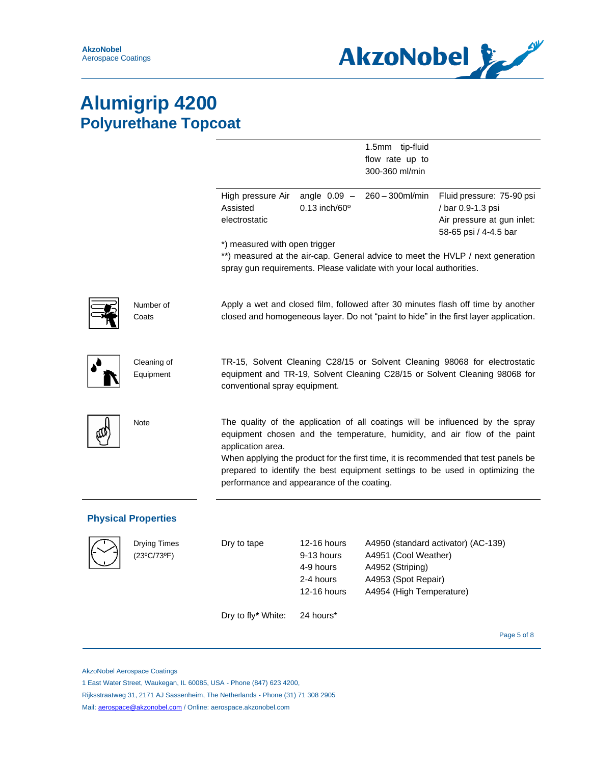

|                                    |                                                                 |                                        |                                                                      | Page 5 of 8                                                                                                                                                                                                                                                                                                                         |
|------------------------------------|-----------------------------------------------------------------|----------------------------------------|----------------------------------------------------------------------|-------------------------------------------------------------------------------------------------------------------------------------------------------------------------------------------------------------------------------------------------------------------------------------------------------------------------------------|
|                                    | Dry to fly* White:                                              | 24 hours*                              |                                                                      |                                                                                                                                                                                                                                                                                                                                     |
|                                    |                                                                 | 2-4 hours<br>12-16 hours               | A4953 (Spot Repair)<br>A4954 (High Temperature)                      |                                                                                                                                                                                                                                                                                                                                     |
| <b>Drying Times</b><br>(23°C/73°F) | Dry to tape                                                     | 12-16 hours<br>9-13 hours<br>4-9 hours | A4951 (Cool Weather)<br>A4952 (Striping)                             | A4950 (standard activator) (AC-139)                                                                                                                                                                                                                                                                                                 |
| <b>Physical Properties</b>         |                                                                 |                                        |                                                                      |                                                                                                                                                                                                                                                                                                                                     |
| Note                               | application area.<br>performance and appearance of the coating. |                                        |                                                                      | The quality of the application of all coatings will be influenced by the spray<br>equipment chosen and the temperature, humidity, and air flow of the paint<br>When applying the product for the first time, it is recommended that test panels be<br>prepared to identify the best equipment settings to be used in optimizing the |
| Cleaning of<br>Equipment           | conventional spray equipment.                                   |                                        |                                                                      | TR-15, Solvent Cleaning C28/15 or Solvent Cleaning 98068 for electrostatic<br>equipment and TR-19, Solvent Cleaning C28/15 or Solvent Cleaning 98068 for                                                                                                                                                                            |
| Number of<br>Coats                 |                                                                 |                                        |                                                                      | Apply a wet and closed film, followed after 30 minutes flash off time by another<br>closed and homogeneous layer. Do not "paint to hide" in the first layer application.                                                                                                                                                            |
|                                    | *) measured with open trigger                                   |                                        | spray gun requirements. Please validate with your local authorities. | **) measured at the air-cap. General advice to meet the HVLP / next generation                                                                                                                                                                                                                                                      |
|                                    | High pressure Air<br>Assisted<br>electrostatic                  | angle $0.09 -$<br>0.13 inch/60°        | $260 - 300$ ml/min                                                   | Fluid pressure: 75-90 psi<br>/ bar 0.9-1.3 psi<br>Air pressure at gun inlet:<br>58-65 psi / 4-4.5 bar                                                                                                                                                                                                                               |
|                                    |                                                                 |                                        | 1.5mm tip-fluid<br>flow rate up to<br>300-360 ml/min                 |                                                                                                                                                                                                                                                                                                                                     |

AkzoNobel Aerospace Coatings

1 East Water Street, Waukegan, IL 60085, USA - Phone (847) 623 4200,

Rijksstraatweg 31, 2171 AJ Sassenheim, The Netherlands - Phone (31) 71 308 2905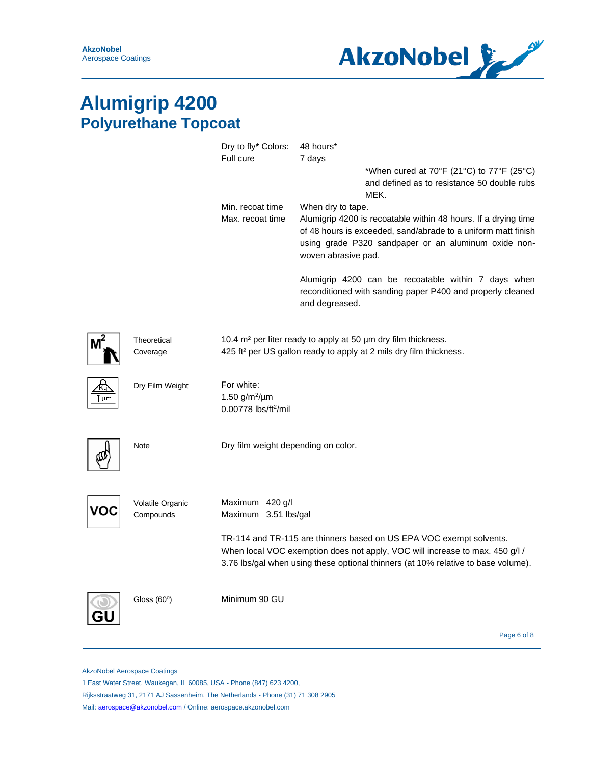

|     |                               | Dry to fly* Colors:<br>Full cure                             | 48 hours*<br>7 days                                        | *When cured at 70°F (21°C) to 77°F (25°C)<br>and defined as to resistance 50 double rubs                                                                                                                                                                                                                             |
|-----|-------------------------------|--------------------------------------------------------------|------------------------------------------------------------|----------------------------------------------------------------------------------------------------------------------------------------------------------------------------------------------------------------------------------------------------------------------------------------------------------------------|
|     |                               | Min. recoat time<br>Max. recoat time                         | When dry to tape.<br>woven abrasive pad.<br>and degreased. | MEK.<br>Alumigrip 4200 is recoatable within 48 hours. If a drying time<br>of 48 hours is exceeded, sand/abrade to a uniform matt finish<br>using grade P320 sandpaper or an aluminum oxide non-<br>Alumigrip 4200 can be recoatable within 7 days when<br>reconditioned with sanding paper P400 and properly cleaned |
|     | Theoretical<br>Coverage       |                                                              |                                                            | 10.4 m <sup>2</sup> per liter ready to apply at 50 µm dry film thickness.<br>425 ft <sup>2</sup> per US gallon ready to apply at 2 mils dry film thickness.                                                                                                                                                          |
|     | Dry Film Weight               | For white:<br>1.50 $g/m^2/\mu m$<br>0.00778 lbs/ft $^2$ /mil |                                                            |                                                                                                                                                                                                                                                                                                                      |
|     | Note                          | Dry film weight depending on color.                          |                                                            |                                                                                                                                                                                                                                                                                                                      |
| /O( | Volatile Organic<br>Compounds | Maximum 420 g/l<br>Maximum 3.51 lbs/gal                      |                                                            |                                                                                                                                                                                                                                                                                                                      |
|     |                               |                                                              |                                                            | TR-114 and TR-115 are thinners based on US EPA VOC exempt solvents.<br>When local VOC exemption does not apply, VOC will increase to max. 450 g/l /<br>3.76 lbs/gal when using these optional thinners (at 10% relative to base volume).                                                                             |
|     | Gloss (60°)                   | Minimum 90 GU                                                |                                                            |                                                                                                                                                                                                                                                                                                                      |

Page 6 of 8

AkzoNobel Aerospace Coatings

1 East Water Street, Waukegan, IL 60085, USA - Phone (847) 623 4200,

Rijksstraatweg 31, 2171 AJ Sassenheim, The Netherlands - Phone (31) 71 308 2905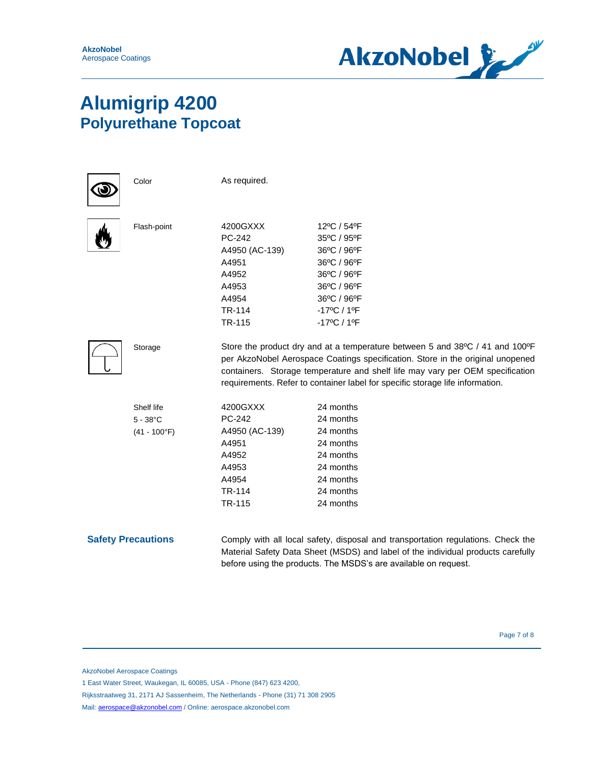

| Color                                               | As required.                                                                                 |                                                                                                                                                                                                                                                                                                                                  |
|-----------------------------------------------------|----------------------------------------------------------------------------------------------|----------------------------------------------------------------------------------------------------------------------------------------------------------------------------------------------------------------------------------------------------------------------------------------------------------------------------------|
| Flash-point                                         | 4200GXXX<br>PC-242<br>A4950 (AC-139)<br>A4951<br>A4952<br>A4953<br>A4954<br>TR-114<br>TR-115 | 12°C / 54°F<br>35°C / 95°F<br>36°C / 96°F<br>36°C / 96°F<br>36°C / 96°F<br>36°C / 96°F<br>36°C / 96°F<br>-17°C / 1°F<br>$-17^{\circ}$ C / 1 $^{\circ}$ F                                                                                                                                                                         |
| Storage                                             |                                                                                              | Store the product dry and at a temperature between 5 and 38°C / 41 and 100°F<br>per AkzoNobel Aerospace Coatings specification. Store in the original unopened<br>containers. Storage temperature and shelf life may vary per OEM specification<br>requirements. Refer to container label for specific storage life information. |
| Shelf life<br>$5 - 38^{\circ}$ C<br>$(41 - 100$ °F) | 4200GXXX<br>PC-242<br>A4950 (AC-139)<br>A4951<br>A4952<br>A4953<br>A4954<br>TR-114<br>TR-115 | 24 months<br>24 months<br>24 months<br>24 months<br>24 months<br>24 months<br>24 months<br>24 months<br>24 months                                                                                                                                                                                                                |
| <b>Safety Precautions</b>                           |                                                                                              | Comply with all local safety, disposal and transportation regulations. Check the<br>Material Safety Data Sheet (MSDS) and label of the individual products carefully<br>before using the products. The MSDS's are available on request.                                                                                          |

AkzoNobel Aerospace Coatings

1 East Water Street, Waukegan, IL 60085, USA - Phone (847) 623 4200,

Rijksstraatweg 31, 2171 AJ Sassenheim, The Netherlands - Phone (31) 71 308 2905